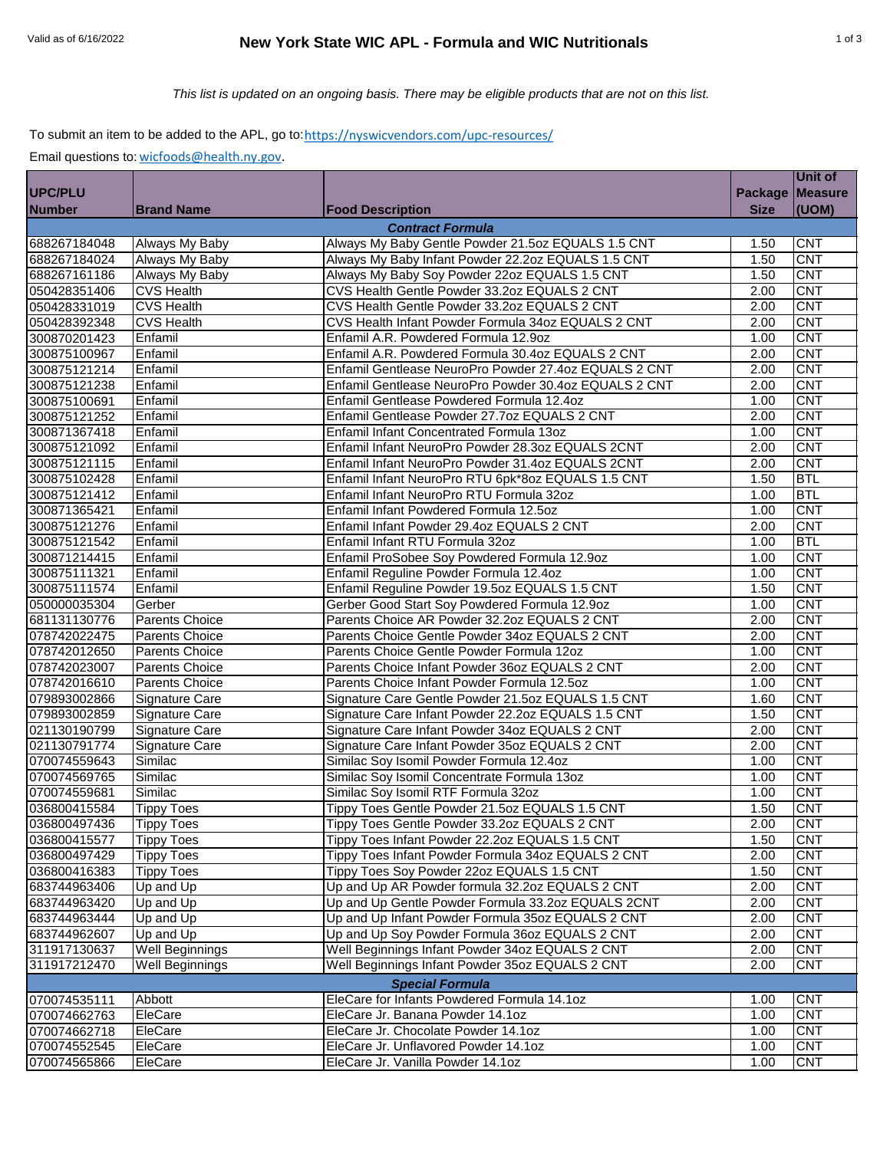# Valid as of 6/16/2022 **New York State WIC APL - Formula and WIC Nutritionals** 1 of 3

## *This list is updated on an ongoing basis. There may be eligible products that are not on this list.*

#### To submit an item to be added to the APL, go to: <u>https://nyswicvendors.com/upc-resources/</u>

Email questions to: [wicfoods@health.ny.gov.](mailto:wicfoods@health.ny.gov)

|                        |                        |                                                       |                   | <b>Unit of</b> |  |  |  |
|------------------------|------------------------|-------------------------------------------------------|-------------------|----------------|--|--|--|
| <b>UPC/PLU</b>         |                        |                                                       | Package   Measure |                |  |  |  |
| <b>Number</b>          | <b>Brand Name</b>      | <b>Food Description</b>                               | <b>Size</b>       | (UOM)          |  |  |  |
|                        |                        | <b>Contract Formula</b>                               |                   |                |  |  |  |
| 688267184048           | Always My Baby         | Always My Baby Gentle Powder 21.5oz EQUALS 1.5 CNT    | 1.50              | <b>CNT</b>     |  |  |  |
| 688267184024           | Always My Baby         | Always My Baby Infant Powder 22.2oz EQUALS 1.5 CNT    | 1.50              | <b>CNT</b>     |  |  |  |
| 688267161186           | Always My Baby         | Always My Baby Soy Powder 22oz EQUALS 1.5 CNT         | 1.50              | <b>CNT</b>     |  |  |  |
| 050428351406           | <b>CVS Health</b>      | CVS Health Gentle Powder 33.2oz EQUALS 2 CNT          | 2.00              | <b>CNT</b>     |  |  |  |
| 050428331019           | <b>CVS Health</b>      | CVS Health Gentle Powder 33.2oz EQUALS 2 CNT          | 2.00              | <b>CNT</b>     |  |  |  |
| 050428392348           | <b>CVS Health</b>      | CVS Health Infant Powder Formula 34oz EQUALS 2 CNT    | 2.00              | <b>CNT</b>     |  |  |  |
| 300870201423           | Enfamil                | Enfamil A.R. Powdered Formula 12.9oz                  | 1.00              | <b>CNT</b>     |  |  |  |
| 300875100967           | Enfamil                | Enfamil A.R. Powdered Formula 30.4oz EQUALS 2 CNT     | 2.00              | <b>CNT</b>     |  |  |  |
| 300875121214           | Enfamil                | Enfamil Gentlease NeuroPro Powder 27.4oz EQUALS 2 CNT | 2.00              | <b>CNT</b>     |  |  |  |
| 300875121238           | Enfamil                | Enfamil Gentlease NeuroPro Powder 30.4oz EQUALS 2 CNT | 2.00              | <b>CNT</b>     |  |  |  |
| 300875100691           | Enfamil                | Enfamil Gentlease Powdered Formula 12.4oz             | 1.00              | <b>CNT</b>     |  |  |  |
| 300875121252           | Enfamil                | Enfamil Gentlease Powder 27.7oz EQUALS 2 CNT          | 2.00              | <b>CNT</b>     |  |  |  |
| 300871367418           | Enfamil                | Enfamil Infant Concentrated Formula 13oz              | 1.00              | <b>CNT</b>     |  |  |  |
| 300875121092           | Enfamil                | Enfamil Infant NeuroPro Powder 28.3oz EQUALS 2CNT     | 2.00              | <b>CNT</b>     |  |  |  |
| 300875121115           | Enfamil                | Enfamil Infant NeuroPro Powder 31.4oz EQUALS 2CNT     | 2.00              | <b>CNT</b>     |  |  |  |
| 300875102428           | Enfamil                | Enfamil Infant NeuroPro RTU 6pk*8oz EQUALS 1.5 CNT    | 1.50              | <b>BTL</b>     |  |  |  |
| 300875121412           | Enfamil                | Enfamil Infant NeuroPro RTU Formula 32oz              | 1.00              | <b>BTL</b>     |  |  |  |
| 300871365421           | Enfamil                | Enfamil Infant Powdered Formula 12.5oz                | 1.00              | <b>CNT</b>     |  |  |  |
| 300875121276           | Enfamil                | Enfamil Infant Powder 29.4oz EQUALS 2 CNT             | 2.00              | <b>CNT</b>     |  |  |  |
| 300875121542           | Enfamil                | Enfamil Infant RTU Formula 32oz                       | 1.00              | <b>BTL</b>     |  |  |  |
| 300871214415           | Enfamil                | Enfamil ProSobee Soy Powdered Formula 12.9oz          | 1.00              | <b>CNT</b>     |  |  |  |
| 300875111321           | Enfamil                | Enfamil Reguline Powder Formula 12.4oz                | 1.00              | <b>CNT</b>     |  |  |  |
| 300875111574           | Enfamil                | Enfamil Reguline Powder 19.5oz EQUALS 1.5 CNT         | 1.50              | <b>CNT</b>     |  |  |  |
| 050000035304           | Gerber                 | Gerber Good Start Soy Powdered Formula 12.9oz         | 1.00              | <b>CNT</b>     |  |  |  |
| 681131130776           | Parents Choice         | Parents Choice AR Powder 32.2oz EQUALS 2 CNT          | 2.00              | <b>CNT</b>     |  |  |  |
| 078742022475           | <b>Parents Choice</b>  | Parents Choice Gentle Powder 34oz EQUALS 2 CNT        | 2.00              | <b>CNT</b>     |  |  |  |
| 078742012650           | <b>Parents Choice</b>  | Parents Choice Gentle Powder Formula 12oz             | 1.00              | <b>CNT</b>     |  |  |  |
| 078742023007           | <b>Parents Choice</b>  | Parents Choice Infant Powder 36oz EQUALS 2 CNT        | 2.00              | <b>CNT</b>     |  |  |  |
| 078742016610           | <b>Parents Choice</b>  | Parents Choice Infant Powder Formula 12.5oz           | 1.00              | <b>CNT</b>     |  |  |  |
| 079893002866           | <b>Signature Care</b>  | Signature Care Gentle Powder 21.5oz EQUALS 1.5 CNT    | 1.60              | <b>CNT</b>     |  |  |  |
| 079893002859           | <b>Signature Care</b>  | Signature Care Infant Powder 22.2oz EQUALS 1.5 CNT    | 1.50              | <b>CNT</b>     |  |  |  |
| 021130190799           | Signature Care         | Signature Care Infant Powder 34oz EQUALS 2 CNT        | 2.00              | <b>CNT</b>     |  |  |  |
| 021130791774           | Signature Care         | Signature Care Infant Powder 35oz EQUALS 2 CNT        | 2.00              | <b>CNT</b>     |  |  |  |
| 070074559643           | Similac                | Similac Soy Isomil Powder Formula 12.4oz              | 1.00              | <b>CNT</b>     |  |  |  |
| 070074569765           | Similac                | Similac Soy Isomil Concentrate Formula 13oz           | 1.00              | <b>CNT</b>     |  |  |  |
| 070074559681           | Similac                | Similac Soy Isomil RTF Formula 32oz                   | 1.00              | <b>CNT</b>     |  |  |  |
| 036800415584           | <b>Tippy Toes</b>      | Tippy Toes Gentle Powder 21.5oz EQUALS 1.5 CNT        | 1.50              | <b>CNT</b>     |  |  |  |
| 036800497436           | <b>Tippy Toes</b>      | Tippy Toes Gentle Powder 33.2oz EQUALS 2 CNT          | 2.00              | <b>CNT</b>     |  |  |  |
| 036800415577           | <b>Tippy Toes</b>      | Tippy Toes Infant Powder 22.2oz EQUALS 1.5 CNT        | 1.50              | <b>CNT</b>     |  |  |  |
| 036800497429           | <b>Tippy Toes</b>      | Tippy Toes Infant Powder Formula 34oz EQUALS 2 CNT    | 2.00              | <b>CNT</b>     |  |  |  |
| 036800416383           | <b>Tippy Toes</b>      | Tippy Toes Soy Powder 22oz EQUALS 1.5 CNT             | 1.50              | <b>CNT</b>     |  |  |  |
| 683744963406           | Up and Up              | Up and Up AR Powder formula 32.2oz EQUALS 2 CNT       | 2.00              | <b>CNT</b>     |  |  |  |
| 683744963420           | Up and Up              | Up and Up Gentle Powder Formula 33.2oz EQUALS 2CNT    | 2.00              | <b>CNT</b>     |  |  |  |
| 683744963444           | Up and Up              | Up and Up Infant Powder Formula 35oz EQUALS 2 CNT     | 2.00              | <b>CNT</b>     |  |  |  |
| 683744962607           | Up and Up              | Up and Up Soy Powder Formula 36oz EQUALS 2 CNT        | 2.00              | <b>CNT</b>     |  |  |  |
| 311917130637           | Well Beginnings        | Well Beginnings Infant Powder 34oz EQUALS 2 CNT       | 2.00              | <b>CNT</b>     |  |  |  |
| 311917212470           | <b>Well Beginnings</b> | Well Beginnings Infant Powder 35oz EQUALS 2 CNT       | 2.00              | <b>CNT</b>     |  |  |  |
| <b>Special Formula</b> |                        |                                                       |                   |                |  |  |  |
| 070074535111           | Abbott                 | EleCare for Infants Powdered Formula 14.1oz           | 1.00              | <b>CNT</b>     |  |  |  |
| 070074662763           | EleCare                | EleCare Jr. Banana Powder 14.1oz                      | 1.00              | <b>CNT</b>     |  |  |  |
| 070074662718           | EleCare                | EleCare Jr. Chocolate Powder 14.1oz                   | 1.00              | <b>CNT</b>     |  |  |  |
| 070074552545           | EleCare                | EleCare Jr. Unflavored Powder 14.1oz                  | 1.00              | <b>CNT</b>     |  |  |  |
| 070074565866           | EleCare                | EleCare Jr. Vanilla Powder 14.1oz                     | 1.00              | <b>CNT</b>     |  |  |  |
|                        |                        |                                                       |                   |                |  |  |  |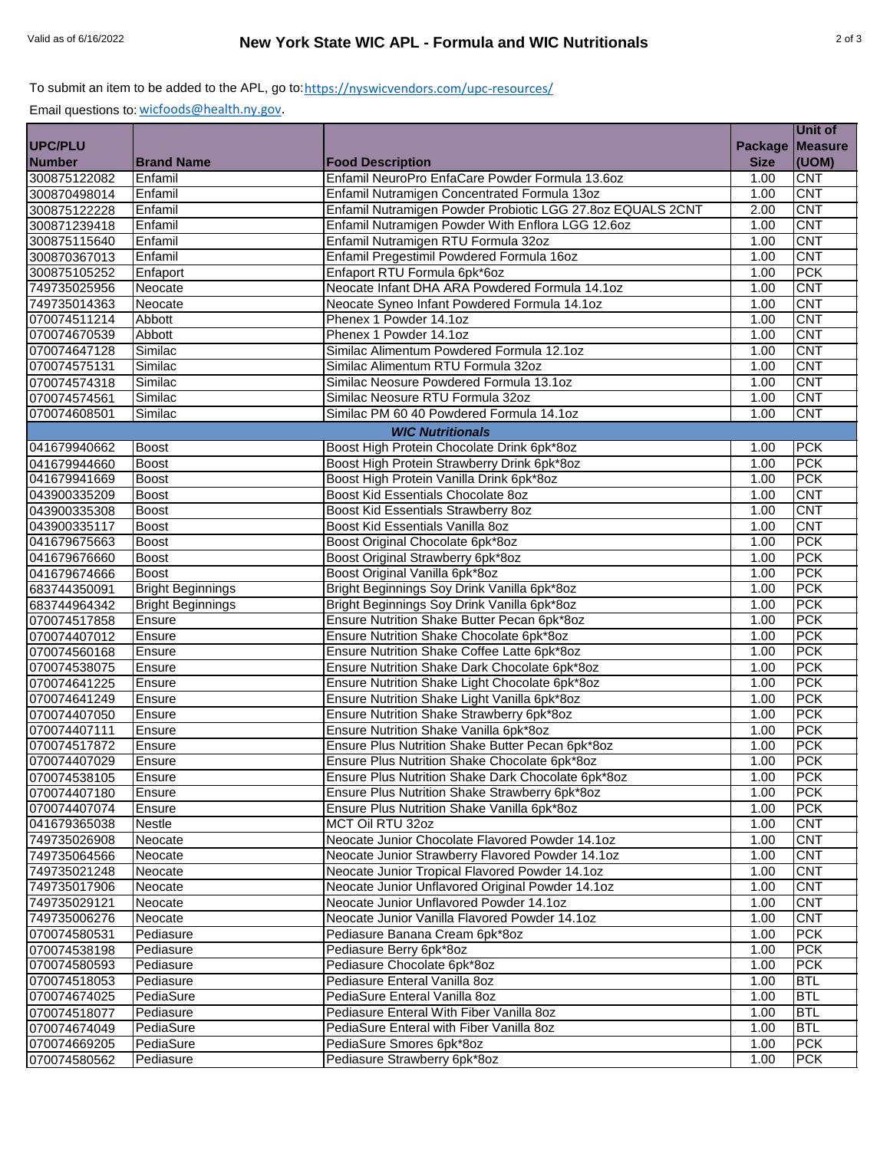## To submit an item to be added to the APL, go to:<u>https://nyswicvendors.com/upc-resources/</u>

Email questions to: [wicfoods@health.ny.gov.](mailto:wicfoods@health.ny.gov)

|               |                          |                                                            |                   | Unit of    |
|---------------|--------------------------|------------------------------------------------------------|-------------------|------------|
| UPC/PLU       |                          |                                                            | Package   Measure |            |
| <b>Number</b> | <b>Brand Name</b>        | <b>Food Description</b>                                    | <b>Size</b>       | (UOM)      |
| 300875122082  | Enfamil                  | Enfamil NeuroPro EnfaCare Powder Formula 13.6oz            | 1.00              | <b>CNT</b> |
| 300870498014  | Enfamil                  | Enfamil Nutramigen Concentrated Formula 13oz               | 1.00              | <b>CNT</b> |
| 300875122228  | Enfamil                  | Enfamil Nutramigen Powder Probiotic LGG 27.8oz EQUALS 2CNT | 2.00              | <b>CNT</b> |
| 300871239418  | Enfamil                  | Enfamil Nutramigen Powder With Enflora LGG 12.6oz          | 1.00              | <b>CNT</b> |
| 300875115640  | Enfamil                  | Enfamil Nutramigen RTU Formula 32oz                        | 1.00              | <b>CNT</b> |
| 300870367013  | Enfamil                  | Enfamil Pregestimil Powdered Formula 16oz                  | 1.00              | <b>CNT</b> |
| 300875105252  | Enfaport                 | Enfaport RTU Formula 6pk*6oz                               | 1.00              | <b>PCK</b> |
| 749735025956  | Neocate                  | Neocate Infant DHA ARA Powdered Formula 14.1oz             | 1.00              | <b>CNT</b> |
| 749735014363  | Neocate                  | Neocate Syneo Infant Powdered Formula 14.1oz               | 1.00              | <b>CNT</b> |
| 070074511214  | Abbott                   | Phenex 1 Powder 14.1oz                                     | 1.00              | <b>CNT</b> |
| 070074670539  | Abbott                   | Phenex 1 Powder 14.1oz                                     | 1.00              | <b>CNT</b> |
| 070074647128  | Similac                  | Similac Alimentum Powdered Formula 12.1oz                  | 1.00              | <b>CNT</b> |
| 070074575131  | Similac                  | Similac Alimentum RTU Formula 32oz                         | 1.00              | <b>CNT</b> |
| 070074574318  | Similac                  | Similac Neosure Powdered Formula 13.1oz                    | 1.00              | <b>CNT</b> |
|               |                          |                                                            |                   |            |
| 070074574561  | Similac                  | Similac Neosure RTU Formula 32oz                           | 1.00              | <b>CNT</b> |
| 070074608501  | Similac                  | Similac PM 60 40 Powdered Formula 14.1oz                   | 1.00              | <b>CNT</b> |
|               |                          | <b>WIC Nutritionals</b>                                    |                   |            |
| 041679940662  | <b>Boost</b>             | Boost High Protein Chocolate Drink 6pk*8oz                 | 1.00              | <b>PCK</b> |
| 041679944660  | <b>Boost</b>             | Boost High Protein Strawberry Drink 6pk*8oz                | 1.00              | <b>PCK</b> |
| 041679941669  | <b>Boost</b>             | Boost High Protein Vanilla Drink 6pk*8oz                   | 1.00              | <b>PCK</b> |
| 043900335209  | <b>Boost</b>             | Boost Kid Essentials Chocolate 8oz                         | 1.00              | <b>CNT</b> |
| 043900335308  | <b>Boost</b>             | Boost Kid Essentials Strawberry 8oz                        | 1.00              | <b>CNT</b> |
| 043900335117  | <b>Boost</b>             | Boost Kid Essentials Vanilla 8oz                           | 1.00              | <b>CNT</b> |
| 041679675663  | <b>Boost</b>             | Boost Original Chocolate 6pk*8oz                           | 1.00              | <b>PCK</b> |
| 041679676660  | Boost                    | Boost Original Strawberry 6pk*8oz                          | 1.00              | <b>PCK</b> |
| 041679674666  | <b>Boost</b>             | Boost Original Vanilla 6pk*8oz                             | 1.00              | <b>PCK</b> |
| 683744350091  | <b>Bright Beginnings</b> | Bright Beginnings Soy Drink Vanilla 6pk*8oz                | 1.00              | <b>PCK</b> |
| 683744964342  | <b>Bright Beginnings</b> | Bright Beginnings Soy Drink Vanilla 6pk*8oz                | 1.00              | <b>PCK</b> |
| 070074517858  | Ensure                   | Ensure Nutrition Shake Butter Pecan 6pk*8oz                | 1.00              | <b>PCK</b> |
| 070074407012  | Ensure                   | Ensure Nutrition Shake Chocolate 6pk*8oz                   | 1.00              | <b>PCK</b> |
| 070074560168  | Ensure                   | Ensure Nutrition Shake Coffee Latte 6pk*8oz                | 1.00              | <b>PCK</b> |
| 070074538075  | Ensure                   | Ensure Nutrition Shake Dark Chocolate 6pk*8oz              | 1.00              | <b>PCK</b> |
| 070074641225  | Ensure                   | Ensure Nutrition Shake Light Chocolate 6pk*8oz             | 1.00              | <b>PCK</b> |
| 070074641249  | Ensure                   | Ensure Nutrition Shake Light Vanilla 6pk*8oz               | 1.00              | <b>PCK</b> |
| 070074407050  | Ensure                   | Ensure Nutrition Shake Strawberry 6pk*8oz                  | 1.00              | <b>PCK</b> |
| 070074407111  | Ensure                   | Ensure Nutrition Shake Vanilla 6pk*8oz                     | 1.00              | <b>PCK</b> |
| 070074517872  | Ensure                   | Ensure Plus Nutrition Shake Butter Pecan 6pk*8oz           | 1.00              | <b>PCK</b> |
| 070074407029  | Ensure                   | Ensure Plus Nutrition Shake Chocolate 6pk*8oz              | 1.00              | <b>PCK</b> |
| 070074538105  | Ensure                   | Ensure Plus Nutrition Shake Dark Chocolate 6pk*8oz         | 1.00              | <b>PCK</b> |
| 070074407180  | Ensure                   | Ensure Plus Nutrition Shake Strawberry 6pk*8oz             | 1.00              | <b>PCK</b> |
| 070074407074  | Ensure                   | Ensure Plus Nutrition Shake Vanilla 6pk*8oz                | 1.00              | <b>PCK</b> |
| 041679365038  | Nestle                   | MCT Oil RTU 32oz                                           | 1.00              | <b>CNT</b> |
| 749735026908  | Neocate                  | Neocate Junior Chocolate Flavored Powder 14.1oz            | 1.00              | <b>CNT</b> |
| 749735064566  | Neocate                  | Neocate Junior Strawberry Flavored Powder 14.1oz           | 1.00              | <b>CNT</b> |
| 749735021248  | Neocate                  | Neocate Junior Tropical Flavored Powder 14.1oz             | 1.00              | <b>CNT</b> |
|               | Neocate                  |                                                            |                   | <b>CNT</b> |
| 749735017906  |                          | Neocate Junior Unflavored Original Powder 14.1oz           | 1.00              |            |
| 749735029121  | Neocate                  | Neocate Junior Unflavored Powder 14.1oz                    | 1.00              | <b>CNT</b> |
| 749735006276  | Neocate                  | Neocate Junior Vanilla Flavored Powder 14.1oz              | 1.00              | <b>CNT</b> |
| 070074580531  | Pediasure                | Pediasure Banana Cream 6pk*8oz                             | 1.00              | <b>PCK</b> |
| 070074538198  | Pediasure                | Pediasure Berry 6pk*8oz                                    | 1.00              | <b>PCK</b> |
| 070074580593  | Pediasure                | Pediasure Chocolate 6pk*8oz                                | 1.00              | <b>PCK</b> |
| 070074518053  | Pediasure                | Pediasure Enteral Vanilla 8oz                              | 1.00              | <b>BTL</b> |
| 070074674025  | PediaSure                | PediaSure Enteral Vanilla 8oz                              | 1.00              | <b>BTL</b> |
| 070074518077  | Pediasure                | Pediasure Enteral With Fiber Vanilla 8oz                   | 1.00              | <b>BTL</b> |
| 070074674049  | PediaSure                | PediaSure Enteral with Fiber Vanilla 8oz                   | 1.00              | <b>BTL</b> |
| 070074669205  | PediaSure                | PediaSure Smores 6pk*8oz                                   | 1.00              | <b>PCK</b> |
| 070074580562  | Pediasure                | Pediasure Strawberry 6pk*8oz                               | 1.00              | <b>PCK</b> |